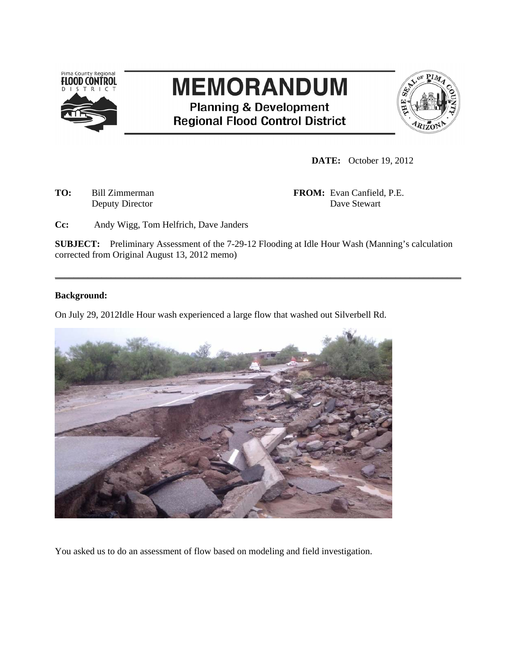

# **MEMORANDUM**

**Planning & Development Regional Flood Control District** 



**DATE:** October 19, 2012

**TO:** Bill Zimmerman **FROM:** Evan Canfield, P.E. Deputy Director Dave Stewart

**Cc:** Andy Wigg, Tom Helfrich, Dave Janders

**SUBJECT:** Preliminary Assessment of the 7-29-12 Flooding at Idle Hour Wash (Manning's calculation corrected from Original August 13, 2012 memo)

\_\_\_\_\_\_\_\_\_\_\_\_\_\_\_\_\_\_\_\_\_\_\_\_\_\_\_\_\_\_\_\_\_\_\_\_\_\_\_\_\_\_\_\_\_\_\_\_\_\_\_\_\_\_\_\_\_\_\_\_\_\_\_\_\_\_\_\_\_\_\_\_\_\_\_\_\_\_\_\_\_\_\_\_\_\_\_

## **Background:**

On July 29, 2012Idle Hour wash experienced a large flow that washed out Silverbell Rd.



You asked us to do an assessment of flow based on modeling and field investigation.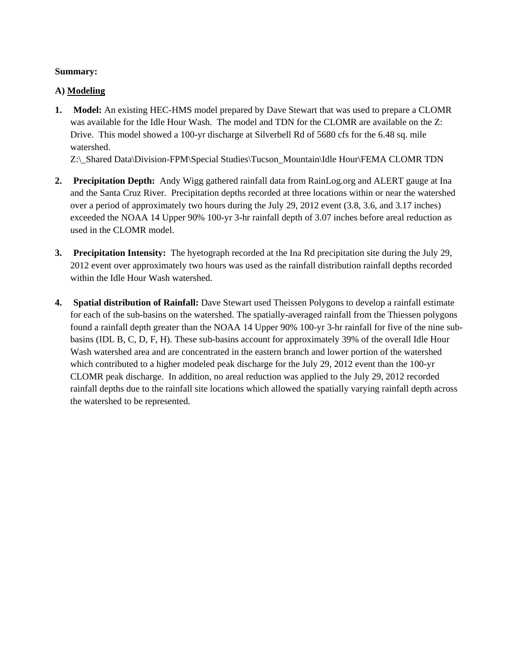# **Summary:**

# **A) Modeling**

**1. Model:** An existing HEC-HMS model prepared by Dave Stewart that was used to prepare a CLOMR was available for the Idle Hour Wash. The model and TDN for the CLOMR are available on the Z: Drive. This model showed a 100-yr discharge at Silverbell Rd of 5680 cfs for the 6.48 sq. mile watershed.

Z:\ Shared Data\Division-FPM\Special Studies\Tucson\_Mountain\Idle Hour\FEMA CLOMR TDN

- **2. Precipitation Depth:** Andy Wigg gathered rainfall data from RainLog.org and ALERT gauge at Ina and the Santa Cruz River. Precipitation depths recorded at three locations within or near the watershed over a period of approximately two hours during the July 29, 2012 event (3.8, 3.6, and 3.17 inches) exceeded the NOAA 14 Upper 90% 100-yr 3-hr rainfall depth of 3.07 inches before areal reduction as used in the CLOMR model.
- **3. Precipitation Intensity:** The hyetograph recorded at the Ina Rd precipitation site during the July 29, 2012 event over approximately two hours was used as the rainfall distribution rainfall depths recorded within the Idle Hour Wash watershed.
- **4. Spatial distribution of Rainfall:** Dave Stewart used Theissen Polygons to develop a rainfall estimate for each of the sub-basins on the watershed. The spatially-averaged rainfall from the Thiessen polygons found a rainfall depth greater than the NOAA 14 Upper 90% 100-yr 3-hr rainfall for five of the nine subbasins (IDL B, C, D, F, H). These sub-basins account for approximately 39% of the overall Idle Hour Wash watershed area and are concentrated in the eastern branch and lower portion of the watershed which contributed to a higher modeled peak discharge for the July 29, 2012 event than the 100-yr CLOMR peak discharge. In addition, no areal reduction was applied to the July 29, 2012 recorded rainfall depths due to the rainfall site locations which allowed the spatially varying rainfall depth across the watershed to be represented.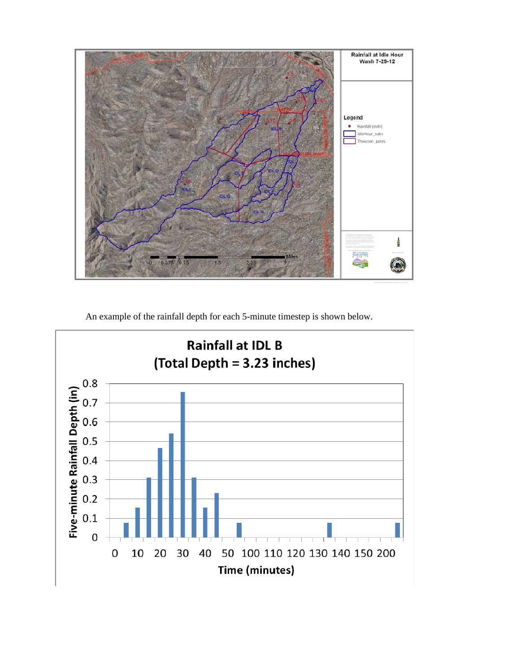

An example of the rainfall depth for each 5-minute timestep is shown below.

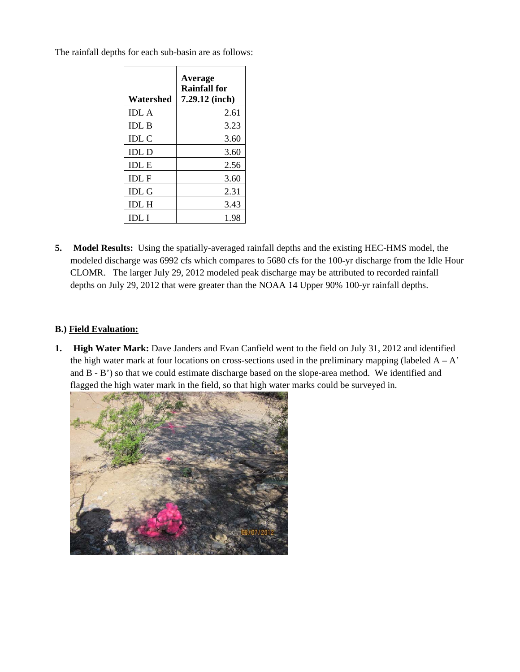| Watershed    | Average<br><b>Rainfall for</b><br>7.29.12 (inch) |
|--------------|--------------------------------------------------|
| <b>IDL A</b> | 2.61                                             |
| <b>IDL B</b> | 3.23                                             |
| <b>IDL C</b> | 3.60                                             |
| <b>IDL D</b> | 3.60                                             |
| <b>IDLE</b>  | 2.56                                             |
| <b>IDLF</b>  | 3.60                                             |
| <b>IDL G</b> | 2.31                                             |
| <b>IDL H</b> | 3.43                                             |
| IDL I        | 1.98                                             |

The rainfall depths for each sub-basin are as follows:

**5. Model Results:** Using the spatially-averaged rainfall depths and the existing HEC-HMS model, the modeled discharge was 6992 cfs which compares to 5680 cfs for the 100-yr discharge from the Idle Hour CLOMR. The larger July 29, 2012 modeled peak discharge may be attributed to recorded rainfall depths on July 29, 2012 that were greater than the NOAA 14 Upper 90% 100-yr rainfall depths.

# **B.) Field Evaluation:**

**1. High Water Mark:** Dave Janders and Evan Canfield went to the field on July 31, 2012 and identified the high water mark at four locations on cross-sections used in the preliminary mapping (labeled  $A - A'$ ) and B - B') so that we could estimate discharge based on the slope-area method. We identified and flagged the high water mark in the field, so that high water marks could be surveyed in.

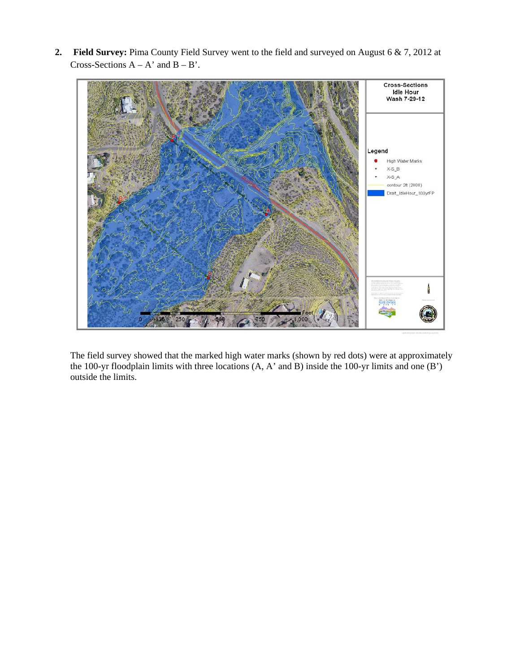**2. Field Survey:** Pima County Field Survey went to the field and surveyed on August 6 & 7, 2012 at Cross-Sections  $A - A'$  and  $B - B'$ .



The field survey showed that the marked high water marks (shown by red dots) were at approximately the 100-yr floodplain limits with three locations (A, A' and B) inside the 100-yr limits and one (B') outside the limits.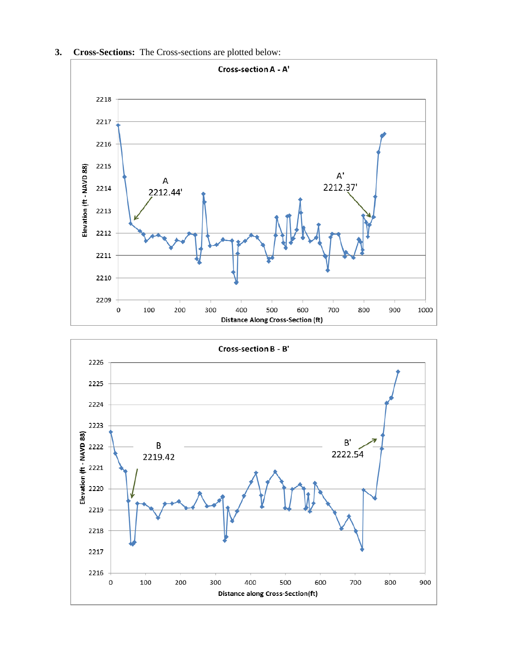



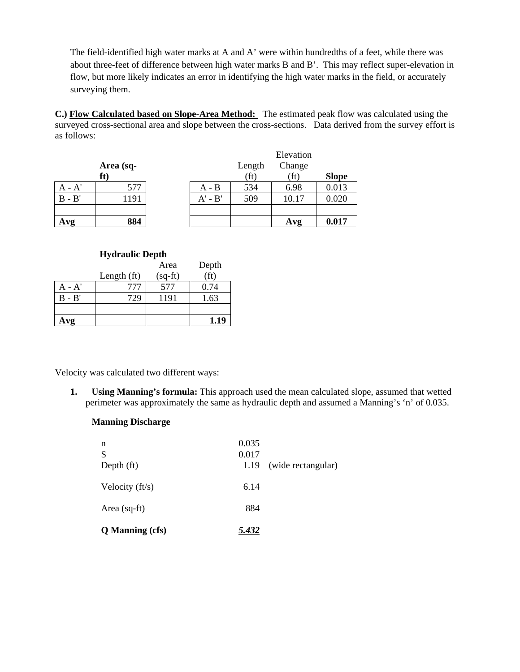The field-identified high water marks at A and A' were within hundredths of a feet, while there was about three-feet of difference between high water marks B and B'. This may reflect super-elevation in flow, but more likely indicates an error in identifying the high water marks in the field, or accurately surveying them.

**C.) Flow Calculated based on Slope-Area Method:** The estimated peak flow was calculated using the surveyed cross-sectional area and slope between the cross-sections. Data derived from the survey effort is as follows:

|          |           |           | Elevation         |        |              |
|----------|-----------|-----------|-------------------|--------|--------------|
|          | Area (sq- |           | Length            | Change |              |
|          | ft)       |           | (f <sup>t</sup> ) | (ft)   | <b>Slope</b> |
| $A - A'$ | 577       | $A - B$   | 534               | 6.98   | 0.013        |
| $B - B'$ | 1191      | $A' - B'$ | 509               | 10.17  | 0.020        |
|          |           |           |                   |        |              |
| Avg      | 884       |           |                   | Avg    | 0.017        |

| <b>Hydraulic Depth</b> |               |           |                   |  |
|------------------------|---------------|-----------|-------------------|--|
|                        |               | Area      | Depth             |  |
|                        | Length $(ft)$ | $(sq-ft)$ | (f <sub>t</sub> ) |  |
| $A - A'$               | 777           | 577       | 0.74              |  |
| $B - B'$               | 729           | 1191      | 1.63              |  |
|                        |               |           |                   |  |
| Avg                    |               |           | 1.19              |  |

Velocity was calculated two different ways:

**1. Using Manning's formula:** This approach used the mean calculated slope, assumed that wetted perimeter was approximately the same as hydraulic depth and assumed a Manning's 'n' of 0.035.

### **Manning Discharge**

| n<br>S<br>Depth $(ft)$ | 0.035<br>0.017<br>1.19 | (wide rectangular) |
|------------------------|------------------------|--------------------|
| Velocity $(ft/s)$      | 6.14                   |                    |
| Area $(sq$ -ft)        | 884                    |                    |
| <b>Q</b> Manning (cfs) | 5.432                  |                    |